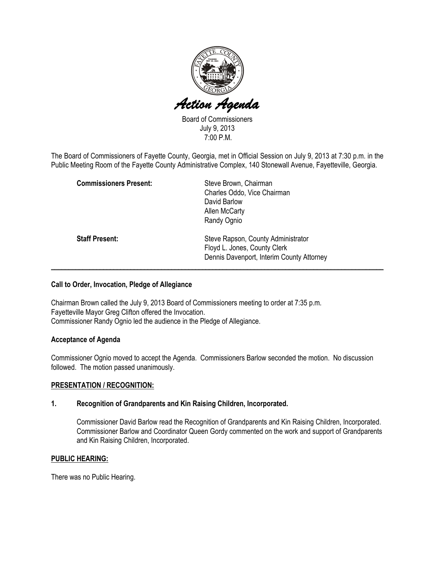

Board of Commissioners July 9, 2013 7:00 P.M.

The Board of Commissioners of Fayette County, Georgia, met in Official Session on July 9, 2013 at 7:30 p.m. in the Public Meeting Room of the Fayette County Administrative Complex, 140 Stonewall Avenue, Fayetteville, Georgia.

| <b>Commissioners Present:</b> | Steve Brown, Chairman<br>Charles Oddo, Vice Chairman |
|-------------------------------|------------------------------------------------------|
|                               | David Barlow                                         |
|                               | Allen McCarty                                        |
|                               | Randy Ognio                                          |
| <b>Staff Present:</b>         | Steve Rapson, County Administrator                   |
|                               | Floyd L. Jones, County Clerk                         |
|                               | Dennis Davenport, Interim County Attorney            |
|                               |                                                      |

### Call to Order, Invocation, Pledge of Allegiance

Chairman Brown called the July 9, 2013 Board of Commissioners meeting to order at 7:35 p.m. Fayetteville Mayor Greg Clifton offered the Invocation. Commissioner Randy Ognio led the audience in the Pledge of Allegiance.

## Acceptance of Agenda

Commissioner Ognio moved to accept the Agenda. Commissioners Barlow seconded the motion. No discussion followed. The motion passed unanimously.

#### PRESENTATION / RECOGNITION:

#### 1. Recognition of Grandparents and Kin Raising Children, Incorporated.

Commissioner David Barlow read the Recognition of Grandparents and Kin Raising Children, Incorporated. Commissioner Barlow and Coordinator Queen Gordy commented on the work and support of Grandparents and Kin Raising Children, Incorporated.

## PUBLIC HEARING:

There was no Public Hearing.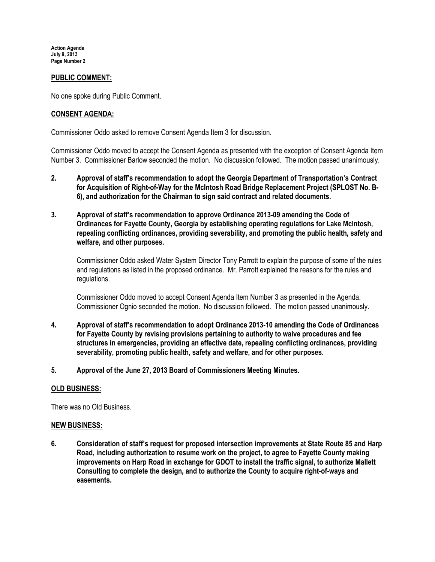Action Agenda July 9, 2013 Page Number 2

### PUBLIC COMMENT:

No one spoke during Public Comment.

#### CONSENT AGENDA:

Commissioner Oddo asked to remove Consent Agenda Item 3 for discussion.

Commissioner Oddo moved to accept the Consent Agenda as presented with the exception of Consent Agenda Item Number 3. Commissioner Barlow seconded the motion. No discussion followed. The motion passed unanimously.

- 2. Approval of staff's recommendation to adopt the Georgia Department of Transportation's Contract for Acquisition of Right-of-Way for the McIntosh Road Bridge Replacement Project (SPLOST No. B-6), and authorization for the Chairman to sign said contract and related documents.
- 3. Approval of staff's recommendation to approve Ordinance 2013-09 amending the Code of Ordinances for Fayette County, Georgia by establishing operating regulations for Lake McIntosh, repealing conflicting ordinances, providing severability, and promoting the public health, safety and welfare, and other purposes.

Commissioner Oddo asked Water System Director Tony Parrott to explain the purpose of some of the rules and regulations as listed in the proposed ordinance. Mr. Parrott explained the reasons for the rules and regulations.

Commissioner Oddo moved to accept Consent Agenda Item Number 3 as presented in the Agenda. Commissioner Ognio seconded the motion. No discussion followed. The motion passed unanimously.

- 4. Approval of staff's recommendation to adopt Ordinance 2013-10 amending the Code of Ordinances for Fayette County by revising provisions pertaining to authority to waive procedures and fee structures in emergencies, providing an effective date, repealing conflicting ordinances, providing severability, promoting public health, safety and welfare, and for other purposes.
- 5. Approval of the June 27, 2013 Board of Commissioners Meeting Minutes.

#### OLD BUSINESS:

There was no Old Business.

#### NEW BUSINESS:

6. Consideration of staff's request for proposed intersection improvements at State Route 85 and Harp Road, including authorization to resume work on the project, to agree to Fayette County making improvements on Harp Road in exchange for GDOT to install the traffic signal, to authorize Mallett Consulting to complete the design, and to authorize the County to acquire right-of-ways and easements.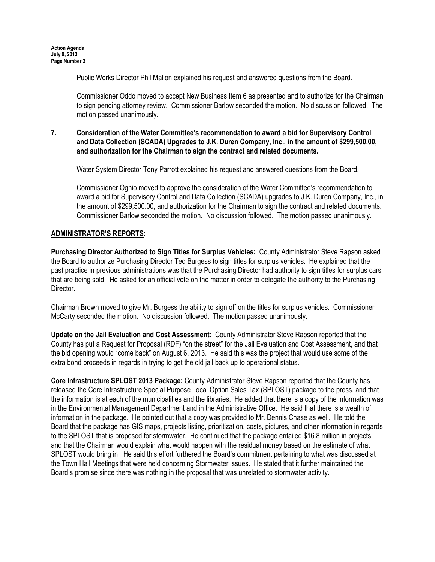Public Works Director Phil Mallon explained his request and answered questions from the Board.

Commissioner Oddo moved to accept New Business Item 6 as presented and to authorize for the Chairman to sign pending attorney review. Commissioner Barlow seconded the motion. No discussion followed. The motion passed unanimously.

## 7. Consideration of the Water Committee's recommendation to award a bid for Supervisory Control and Data Collection (SCADA) Upgrades to J.K. Duren Company, Inc., in the amount of \$299,500.00, and authorization for the Chairman to sign the contract and related documents.

Water System Director Tony Parrott explained his request and answered questions from the Board.

Commissioner Ognio moved to approve the consideration of the Water Committee's recommendation to award a bid for Supervisory Control and Data Collection (SCADA) upgrades to J.K. Duren Company, Inc., in the amount of \$299,500.00, and authorization for the Chairman to sign the contract and related documents. Commissioner Barlow seconded the motion. No discussion followed. The motion passed unanimously.

## ADMINISTRATOR'S REPORTS:

Purchasing Director Authorized to Sign Titles for Surplus Vehicles: County Administrator Steve Rapson asked the Board to authorize Purchasing Director Ted Burgess to sign titles for surplus vehicles. He explained that the past practice in previous administrations was that the Purchasing Director had authority to sign titles for surplus cars that are being sold. He asked for an official vote on the matter in order to delegate the authority to the Purchasing Director.

Chairman Brown moved to give Mr. Burgess the ability to sign off on the titles for surplus vehicles. Commissioner McCarty seconded the motion. No discussion followed. The motion passed unanimously.

Update on the Jail Evaluation and Cost Assessment: County Administrator Steve Rapson reported that the County has put a Request for Proposal (RDF) "on the street" for the Jail Evaluation and Cost Assessment, and that the bid opening would "come back" on August 6, 2013. He said this was the project that would use some of the extra bond proceeds in regards in trying to get the old jail back up to operational status.

Core Infrastructure SPLOST 2013 Package: County Administrator Steve Rapson reported that the County has released the Core Infrastructure Special Purpose Local Option Sales Tax (SPLOST) package to the press, and that the information is at each of the municipalities and the libraries. He added that there is a copy of the information was in the Environmental Management Department and in the Administrative Office. He said that there is a wealth of information in the package. He pointed out that a copy was provided to Mr. Dennis Chase as well. He told the Board that the package has GIS maps, projects listing, prioritization, costs, pictures, and other information in regards to the SPLOST that is proposed for stormwater. He continued that the package entailed \$16.8 million in projects, and that the Chairman would explain what would happen with the residual money based on the estimate of what SPLOST would bring in. He said this effort furthered the Board's commitment pertaining to what was discussed at the Town Hall Meetings that were held concerning Stormwater issues. He stated that it further maintained the Board's promise since there was nothing in the proposal that was unrelated to stormwater activity.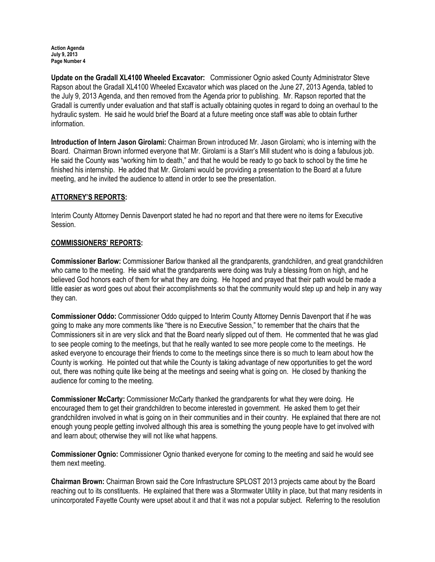Action Agenda July 9, 2013 Page Number 4

Update on the Gradall XL4100 Wheeled Excavator: Commissioner Ognio asked County Administrator Steve Rapson about the Gradall XL4100 Wheeled Excavator which was placed on the June 27, 2013 Agenda, tabled to the July 9, 2013 Agenda, and then removed from the Agenda prior to publishing. Mr. Rapson reported that the Gradall is currently under evaluation and that staff is actually obtaining quotes in regard to doing an overhaul to the hydraulic system. He said he would brief the Board at a future meeting once staff was able to obtain further information.

Introduction of Intern Jason Girolami: Chairman Brown introduced Mr. Jason Girolami; who is interning with the Board. Chairman Brown informed everyone that Mr. Girolami is a Starr's Mill student who is doing a fabulous job. He said the County was "working him to death," and that he would be ready to go back to school by the time he finished his internship. He added that Mr. Girolami would be providing a presentation to the Board at a future meeting, and he invited the audience to attend in order to see the presentation.

## ATTORNEY'S REPORTS:

Interim County Attorney Dennis Davenport stated he had no report and that there were no items for Executive Session.

#### COMMISSIONERS' REPORTS:

Commissioner Barlow: Commissioner Barlow thanked all the grandparents, grandchildren, and great grandchildren who came to the meeting. He said what the grandparents were doing was truly a blessing from on high, and he believed God honors each of them for what they are doing. He hoped and prayed that their path would be made a little easier as word goes out about their accomplishments so that the community would step up and help in any way they can.

Commissioner Oddo: Commissioner Oddo quipped to Interim County Attorney Dennis Davenport that if he was going to make any more comments like "there is no Executive Session," to remember that the chairs that the Commissioners sit in are very slick and that the Board nearly slipped out of them. He commented that he was glad to see people coming to the meetings, but that he really wanted to see more people come to the meetings. He asked everyone to encourage their friends to come to the meetings since there is so much to learn about how the County is working. He pointed out that while the County is taking advantage of new opportunities to get the word out, there was nothing quite like being at the meetings and seeing what is going on. He closed by thanking the audience for coming to the meeting.

Commissioner McCarty: Commissioner McCarty thanked the grandparents for what they were doing. He encouraged them to get their grandchildren to become interested in government. He asked them to get their grandchildren involved in what is going on in their communities and in their country. He explained that there are not enough young people getting involved although this area is something the young people have to get involved with and learn about; otherwise they will not like what happens.

Commissioner Ognio: Commissioner Ognio thanked everyone for coming to the meeting and said he would see them next meeting.

Chairman Brown: Chairman Brown said the Core Infrastructure SPLOST 2013 projects came about by the Board reaching out to its constituents. He explained that there was a Stormwater Utility in place, but that many residents in unincorporated Fayette County were upset about it and that it was not a popular subject. Referring to the resolution